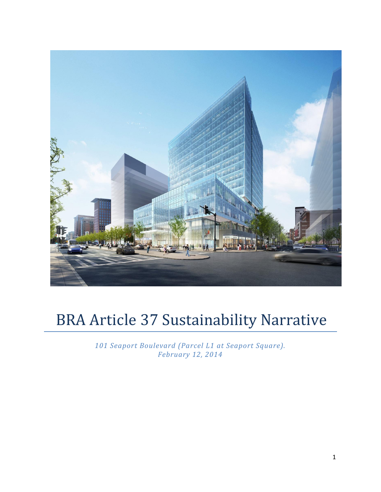

# BRA Article 37 Sustainability Narrative

*101 Seaport Boulevard (Parcel L1 at Seaport Square). February 12, 2014*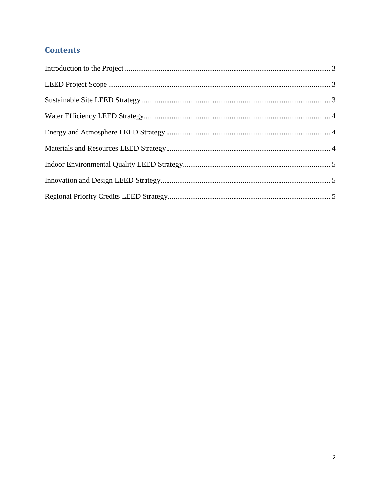# **Contents**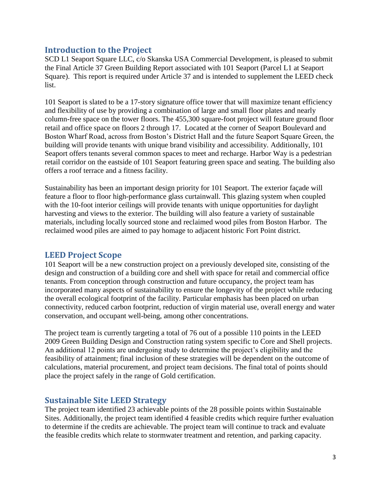#### <span id="page-2-0"></span>**Introduction to the Project**

SCD L1 Seaport Square LLC, c/o Skanska USA Commercial Development, is pleased to submit the Final Article 37 Green Building Report associated with 101 Seaport (Parcel L1 at Seaport Square). This report is required under Article 37 and is intended to supplement the LEED check list.

101 Seaport is slated to be a 17-story signature office tower that will maximize tenant efficiency and flexibility of use by providing a combination of large and small floor plates and nearly column-free space on the tower floors. The 455,300 square-foot project will feature ground floor retail and office space on floors 2 through 17. Located at the corner of Seaport Boulevard and Boston Wharf Road, across from Boston's District Hall and the future Seaport Square Green, the building will provide tenants with unique brand visibility and accessibility. Additionally, 101 Seaport offers tenants several common spaces to meet and recharge. Harbor Way is a pedestrian retail corridor on the eastside of 101 Seaport featuring green space and seating. The building also offers a roof terrace and a fitness facility.

Sustainability has been an important design priority for 101 Seaport. The exterior façade will feature a floor to floor high-performance glass curtainwall. This glazing system when coupled with the 10-foot interior ceilings will provide tenants with unique opportunities for daylight harvesting and views to the exterior. The building will also feature a variety of sustainable materials, including locally sourced stone and reclaimed wood piles from Boston Harbor. The reclaimed wood piles are aimed to pay homage to adjacent historic Fort Point district.

#### <span id="page-2-1"></span>**LEED Project Scope**

101 Seaport will be a new construction project on a previously developed site, consisting of the design and construction of a building core and shell with space for retail and commercial office tenants. From conception through construction and future occupancy, the project team has incorporated many aspects of sustainability to ensure the longevity of the project while reducing the overall ecological footprint of the facility. Particular emphasis has been placed on urban connectivity, reduced carbon footprint, reduction of virgin material use, overall energy and water conservation, and occupant well-being, among other concentrations.

The project team is currently targeting a total of 76 out of a possible 110 points in the LEED 2009 Green Building Design and Construction rating system specific to Core and Shell projects. An additional 12 points are undergoing study to determine the project's eligibility and the feasibility of attainment; final inclusion of these strategies will be dependent on the outcome of calculations, material procurement, and project team decisions. The final total of points should place the project safely in the range of Gold certification.

#### <span id="page-2-2"></span>**Sustainable Site LEED Strategy**

The project team identified 23 achievable points of the 28 possible points within Sustainable Sites. Additionally, the project team identified 4 feasible credits which require further evaluation to determine if the credits are achievable. The project team will continue to track and evaluate the feasible credits which relate to stormwater treatment and retention, and parking capacity.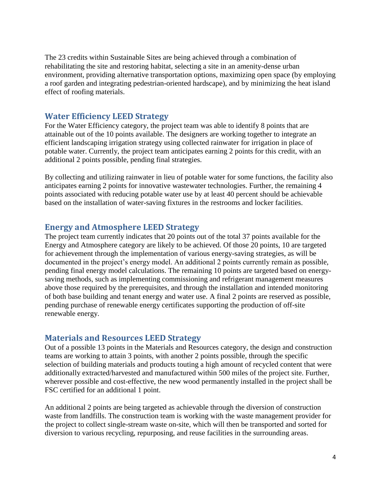The 23 credits within Sustainable Sites are being achieved through a combination of rehabilitating the site and restoring habitat, selecting a site in an amenity-dense urban environment, providing alternative transportation options, maximizing open space (by employing a roof garden and integrating pedestrian-oriented hardscape), and by minimizing the heat island effect of roofing materials.

#### <span id="page-3-0"></span>**Water Efficiency LEED Strategy**

For the Water Efficiency category, the project team was able to identify 8 points that are attainable out of the 10 points available. The designers are working together to integrate an efficient landscaping irrigation strategy using collected rainwater for irrigation in place of potable water. Currently, the project team anticipates earning 2 points for this credit, with an additional 2 points possible, pending final strategies.

By collecting and utilizing rainwater in lieu of potable water for some functions, the facility also anticipates earning 2 points for innovative wastewater technologies. Further, the remaining 4 points associated with reducing potable water use by at least 40 percent should be achievable based on the installation of water-saving fixtures in the restrooms and locker facilities.

#### <span id="page-3-1"></span>**Energy and Atmosphere LEED Strategy**

The project team currently indicates that 20 points out of the total 37 points available for the Energy and Atmosphere category are likely to be achieved. Of those 20 points, 10 are targeted for achievement through the implementation of various energy-saving strategies, as will be documented in the project's energy model. An additional 2 points currently remain as possible, pending final energy model calculations. The remaining 10 points are targeted based on energysaving methods, such as implementing commissioning and refrigerant management measures above those required by the prerequisites, and through the installation and intended monitoring of both base building and tenant energy and water use. A final 2 points are reserved as possible, pending purchase of renewable energy certificates supporting the production of off-site renewable energy.

#### <span id="page-3-2"></span>**Materials and Resources LEED Strategy**

Out of a possible 13 points in the Materials and Resources category, the design and construction teams are working to attain 3 points, with another 2 points possible, through the specific selection of building materials and products touting a high amount of recycled content that were additionally extracted/harvested and manufactured within 500 miles of the project site. Further, wherever possible and cost-effective, the new wood permanently installed in the project shall be FSC certified for an additional 1 point.

An additional 2 points are being targeted as achievable through the diversion of construction waste from landfills. The construction team is working with the waste management provider for the project to collect single-stream waste on-site, which will then be transported and sorted for diversion to various recycling, repurposing, and reuse facilities in the surrounding areas.